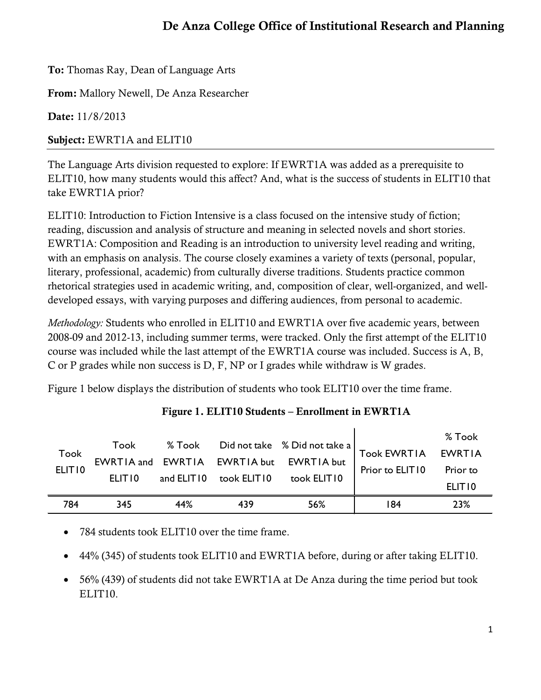To: Thomas Ray, Dean of Language Arts

From: Mallory Newell, De Anza Researcher

Date: 11/8/2013

Subject: EWRT1A and ELIT10

The Language Arts division requested to explore: If EWRT1A was added as a prerequisite to ELIT10, how many students would this affect? And, what is the success of students in ELIT10 that take EWRT1A prior?

ELIT10: Introduction to Fiction Intensive is a class focused on the intensive study of fiction; reading, discussion and analysis of structure and meaning in selected novels and short stories. EWRT1A: Composition and Reading is an introduction to university level reading and writing, with an emphasis on analysis. The course closely examines a variety of texts (personal, popular, literary, professional, academic) from culturally diverse traditions. Students practice common rhetorical strategies used in academic writing, and, composition of clear, well-organized, and welldeveloped essays, with varying purposes and differing audiences, from personal to academic.

*Methodology:* Students who enrolled in ELIT10 and EWRT1A over five academic years, between 2008-09 and 2012-13, including summer terms, were tracked. Only the first attempt of the ELIT10 course was included while the last attempt of the EWRT1A course was included. Success is A, B, C or P grades while non success is D, F, NP or I grades while withdraw is W grades.

Figure 1 below displays the distribution of students who took ELIT10 over the time frame.

| Took<br>ELIT <sub>10</sub> | Took<br>FLITIO. | and ELIT10 | took ELIT10 | % Took Did not take % Did not take a  <br>EWRTIA and EWRTIA EWRTIA but EWRTIA but<br>took ELIT10 | <b>Took EWRTIA</b><br>Prior to ELIT10 | % Took<br>EWRTIA<br>Prior to<br>ELIT <sub>10</sub> |
|----------------------------|-----------------|------------|-------------|--------------------------------------------------------------------------------------------------|---------------------------------------|----------------------------------------------------|
| 784                        | 345             | 44%        | 439         | 56%                                                                                              | 184                                   | 23%                                                |

## Figure 1. ELIT10 Students – Enrollment in EWRT1A

 $\mathbf{I}$ 

- 784 students took ELIT10 over the time frame.
- 44% (345) of students took ELIT10 and EWRT1A before, during or after taking ELIT10.
- 56% (439) of students did not take EWRT1A at De Anza during the time period but took ELIT10.